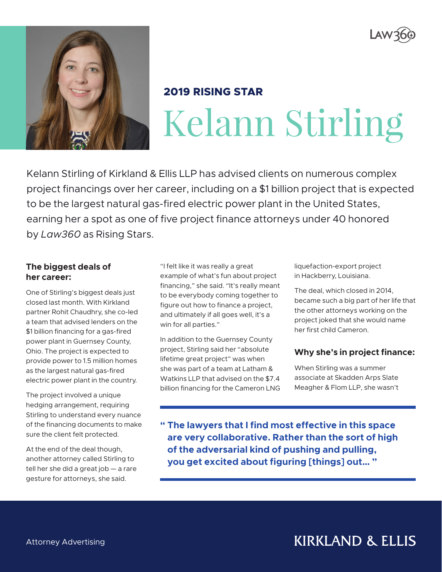



# **2019 RISING STAR** Kelann Stirling

Kelann Stirling of Kirkland & Ellis LLP has advised clients on numerous complex project financings over her career, including on a \$1 billion project that is expected to be the largest natural gas-fired electric power plant in the United States, earning her a spot as one of five project finance attorneys under 40 honored by *Law360* as Rising Stars.

### **The biggest deals of her career:**

One of Stirling's biggest deals just closed last month. With Kirkland partner Rohit Chaudhry, she co-led a team that advised lenders on the \$1 billion financing for a gas-fired power plant in Guernsey County, Ohio. The project is expected to provide power to 1.5 million homes as the largest natural gas-fired electric power plant in the country.

The project involved a unique hedging arrangement, requiring Stirling to understand every nuance of the financing documents to make sure the client felt protected.

At the end of the deal though, another attorney called Stirling to tell her she did a great job — a rare gesture for attorneys, she said.

"I felt like it was really a great example of what's fun about project financing," she said. "It's really meant to be everybody coming together to figure out how to finance a project, and ultimately if all goes well, it's a win for all parties."

In addition to the Guernsey County project, Stirling said her "absolute lifetime great project" was when she was part of a team at Latham & Watkins LLP that advised on the \$7.4 billion financing for the Cameron LNG liquefaction-export project in Hackberry, Louisiana.

The deal, which closed in 2014, became such a big part of her life that the other attorneys working on the project joked that she would name her first child Cameron.

### **Why she's in project finance:**

When Stirling was a summer associate at Skadden Arps Slate Meagher & Flom LLP, she wasn't

**" The lawyers that I find most effective in this space are very collaborative. Rather than the sort of high of the adversarial kind of pushing and pulling, you get excited about figuring [things] out… "**

## **KIRKLAND & ELLIS**